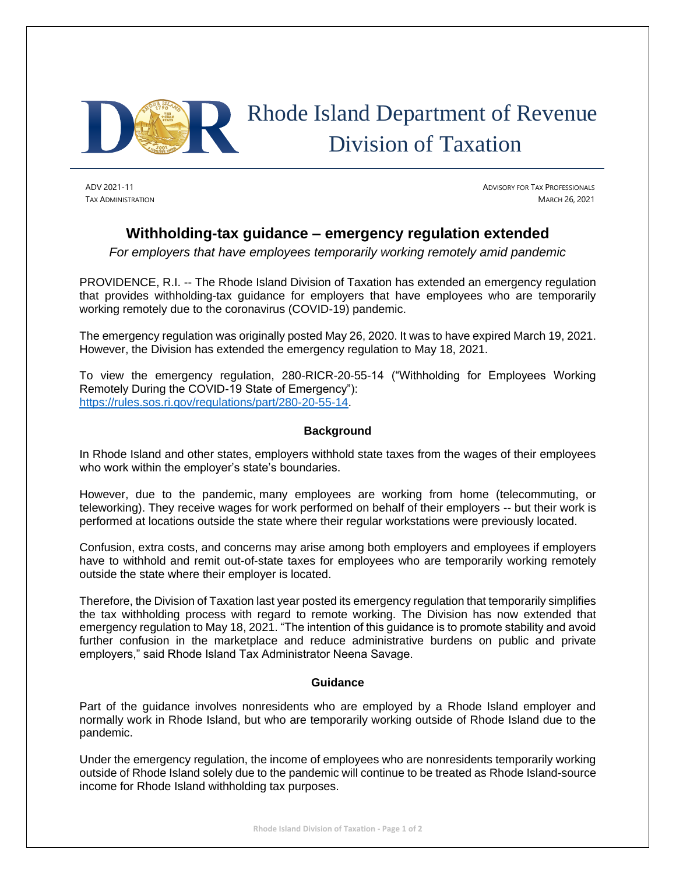

## Rhode Island Department of Revenue Division of Taxation

ADV 2021-11 ADVISORY FOR TAX PROFESSIONALS TAX ADMINISTRATION MARCH 26, 2021

## **Withholding-tax guidance – emergency regulation extended**

*For employers that have employees temporarily working remotely amid pandemic* 

PROVIDENCE, R.I. -- The Rhode Island Division of Taxation has extended an emergency regulation that provides withholding-tax guidance for employers that have employees who are temporarily working remotely due to the coronavirus (COVID-19) pandemic.

The emergency regulation was originally posted May 26, 2020. It was to have expired March 19, 2021. However, the Division has extended the emergency regulation to May 18, 2021.

To view the emergency regulation, 280-RICR-20-55-14 ("Withholding for Employees Working Remotely During the COVID-19 State of Emergency"): [https://rules.sos.ri.gov/regulations/part/280-20-55-14.](https://rules.sos.ri.gov/regulations/part/280-20-55-14)

## **Background**

In Rhode Island and other states, employers withhold state taxes from the wages of their employees who work within the employer's state's boundaries.

However, due to the pandemic, many employees are working from home (telecommuting, or teleworking). They receive wages for work performed on behalf of their employers -- but their work is performed at locations outside the state where their regular workstations were previously located.

Confusion, extra costs, and concerns may arise among both employers and employees if employers have to withhold and remit out-of-state taxes for employees who are temporarily working remotely outside the state where their employer is located.

Therefore, the Division of Taxation last year posted its emergency regulation that temporarily simplifies the tax withholding process with regard to remote working. The Division has now extended that emergency regulation to May 18, 2021. "The intention of this guidance is to promote stability and avoid further confusion in the marketplace and reduce administrative burdens on public and private employers," said Rhode Island Tax Administrator Neena Savage.

## **Guidance**

Part of the guidance involves nonresidents who are employed by a Rhode Island employer and normally work in Rhode Island, but who are temporarily working outside of Rhode Island due to the pandemic.

Under the emergency regulation, the income of employees who are nonresidents temporarily working outside of Rhode Island solely due to the pandemic will continue to be treated as Rhode Island-source income for Rhode Island withholding tax purposes.